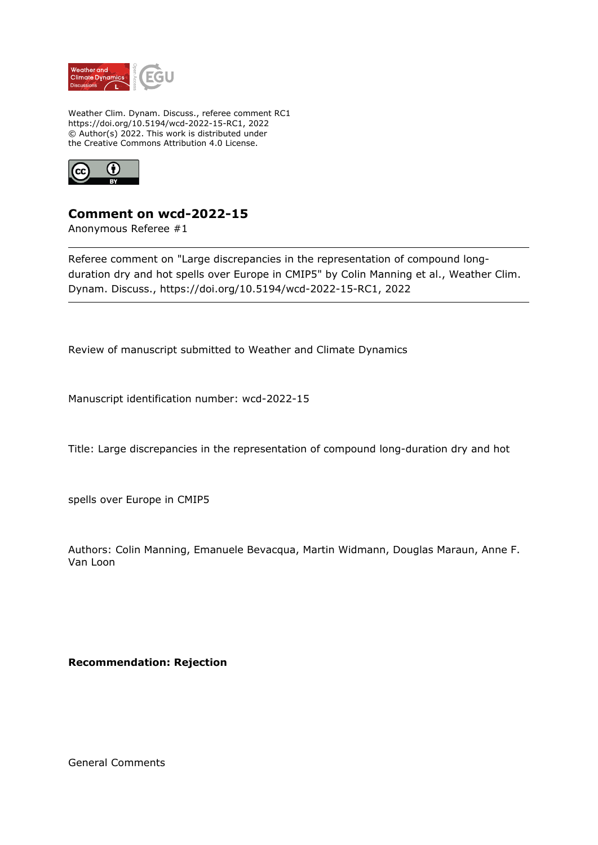

Weather Clim. Dynam. Discuss., referee comment RC1 https://doi.org/10.5194/wcd-2022-15-RC1, 2022 © Author(s) 2022. This work is distributed under the Creative Commons Attribution 4.0 License.



## **Comment on wcd-2022-15**

Anonymous Referee #1

Referee comment on "Large discrepancies in the representation of compound longduration dry and hot spells over Europe in CMIP5" by Colin Manning et al., Weather Clim. Dynam. Discuss., https://doi.org/10.5194/wcd-2022-15-RC1, 2022

Review of manuscript submitted to Weather and Climate Dynamics

Manuscript identification number: wcd-2022-15

Title: Large discrepancies in the representation of compound long-duration dry and hot

spells over Europe in CMIP5

Authors: Colin Manning, Emanuele Bevacqua, Martin Widmann, Douglas Maraun, Anne F. Van Loon

**Recommendation: Rejection**

General Comments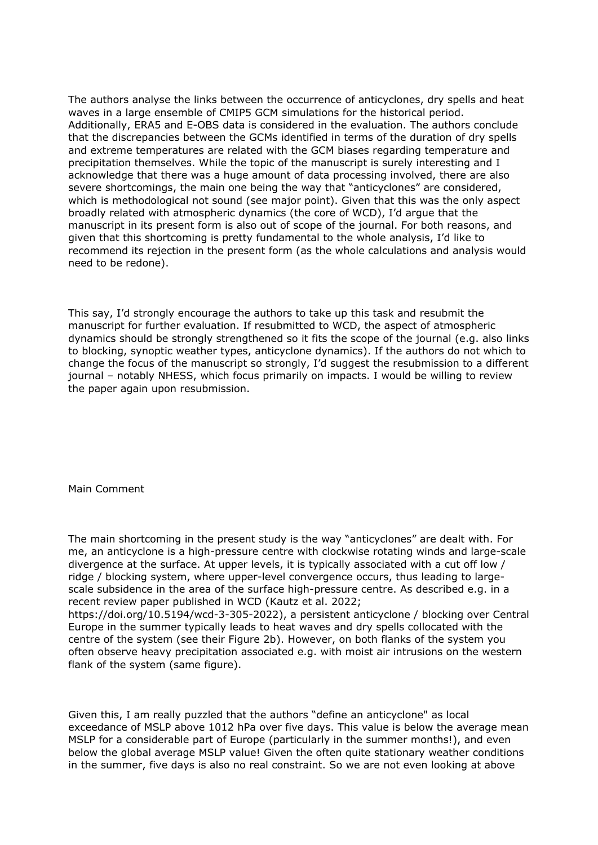The authors analyse the links between the occurrence of anticyclones, dry spells and heat waves in a large ensemble of CMIP5 GCM simulations for the historical period. Additionally, ERA5 and E-OBS data is considered in the evaluation. The authors conclude that the discrepancies between the GCMs identified in terms of the duration of dry spells and extreme temperatures are related with the GCM biases regarding temperature and precipitation themselves. While the topic of the manuscript is surely interesting and I acknowledge that there was a huge amount of data processing involved, there are also severe shortcomings, the main one being the way that "anticyclones" are considered, which is methodological not sound (see major point). Given that this was the only aspect broadly related with atmospheric dynamics (the core of WCD), I'd argue that the manuscript in its present form is also out of scope of the journal. For both reasons, and given that this shortcoming is pretty fundamental to the whole analysis, I'd like to recommend its rejection in the present form (as the whole calculations and analysis would need to be redone).

This say, I'd strongly encourage the authors to take up this task and resubmit the manuscript for further evaluation. If resubmitted to WCD, the aspect of atmospheric dynamics should be strongly strengthened so it fits the scope of the journal (e.g. also links to blocking, synoptic weather types, anticyclone dynamics). If the authors do not which to change the focus of the manuscript so strongly, I'd suggest the resubmission to a different journal – notably NHESS, which focus primarily on impacts. I would be willing to review the paper again upon resubmission.

Main Comment

The main shortcoming in the present study is the way "anticyclones" are dealt with. For me, an anticyclone is a high-pressure centre with clockwise rotating winds and large-scale divergence at the surface. At upper levels, it is typically associated with a cut off low / ridge / blocking system, where upper-level convergence occurs, thus leading to largescale subsidence in the area of the surface high-pressure centre. As described e.g. in a recent review paper published in WCD (Kautz et al. 2022;

https://doi.org/10.5194/wcd-3-305-2022), a persistent anticyclone / blocking over Central Europe in the summer typically leads to heat waves and dry spells collocated with the centre of the system (see their Figure 2b). However, on both flanks of the system you often observe heavy precipitation associated e.g. with moist air intrusions on the western flank of the system (same figure).

Given this, I am really puzzled that the authors "define an anticyclone" as local exceedance of MSLP above 1012 hPa over five days. This value is below the average mean MSLP for a considerable part of Europe (particularly in the summer months!), and even below the global average MSLP value! Given the often quite stationary weather conditions in the summer, five days is also no real constraint. So we are not even looking at above